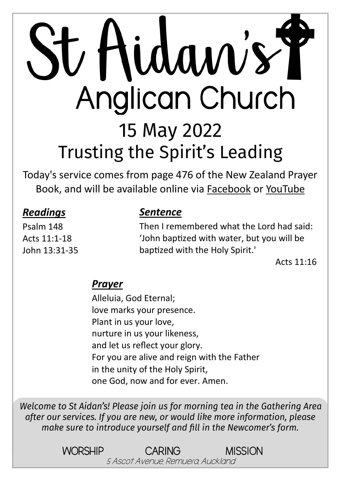# St Hidaw's T Anglican Church 15 May 2022 **Trusting the Spirit's Leading**

Today's service comes from page 476 of the New Zealand Prayer Book, and will be available online via [Facebook](https://www.facebook.com/StAidansRemuera/) or [YouTube](https://www.youtube.com/channel/UCp1KTUD3GRs20GGAFeAZ7fQ)

#### *Readings*

Psalm 148 Acts 11:1-18 John 13:31-35

#### *Sentence*

Then I remembered what the Lord had said: 'John baptized with water, but you will be baptized with the Holy Spirit.'

Acts  $11:16$ 

#### *Prayer*

Alleluia, God Eternal; love marks your presence. Plant in us your love, nurture in us your likeness, and let us reflect your glory. For you are alive and reign with the Father in the unity of the Holy Spirit, one God, now and for ever. Amen.

Welcome to St Aidan's! Please join us for morning tea in the Gathering Area after our services. If you are new, or would like more information, please make sure to introduce yourself and fill in the Newcomer's form.

> WORSHIP CARING MISSION 5 Ascot Avenue, Remuera, Auckland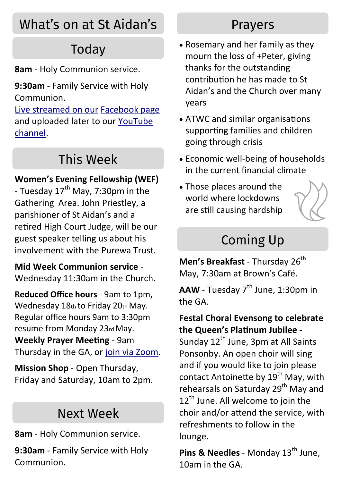## What's on at St Aidan's

## Todav

**8am** - Holy Communion service.

**9:30am** - Family Service with Holy Communion.

[Live streamed on our](https://www.facebook.com/StAidansRemuera/) [Facebook page](https://www.facebook.com/StAidansRemuera/) and uploaded later to our [YouTube](https://www.youtube.com/channel/UCp1KTUD3GRs20GGAFeAZ7fQ)  [channel.](https://www.youtube.com/channel/UCp1KTUD3GRs20GGAFeAZ7fQ)

## This Week

#### **Women's Evening Fellowship (WEF)**

- Tuesday  $17<sup>th</sup>$  May, 7:30pm in the Gathering Area. John Priestley, a parishioner of St Aidan's and a retired High Court Judge, will be our guest speaker telling us about his involvement with the Purewa Trust.

**Mid Week Communion service** - Wednesday 11:30am in the Church.

**Reduced Office hours** - 9am to 1pm, Wednesday 18th to Friday 20th May. Regular office hours 9am to 3:30pm resume from Monday 23rd May. **Weekly Prayer Meeting** - 9am Thursday in the GA, or [join via Zoom.](https://us06web.zoom.us/j/95919320025?pwd=SHAzL1kwTmcyYm1PdkdzNVNLNUZ6dz09)

**Mission Shop** - Open Thursday, Friday and Saturday, 10am to 2pm.

## Next Week

**8am** - Holy Communion service.

**9:30am** - Family Service with Holy Communion.

## **Prayers**

- Rosemary and her family as they mourn the loss of +Peter, giving thanks for the outstanding contribution he has made to St Aidan's and the Church over many years
- ATWC and similar organisations supporting families and children going through crisis
- Economic well-being of households in the current financial climate
- Those places around the world where lockdowns are still causing hardship



## **Coming Up**

**Men's Breakfast** - Thursday 26<sup>th</sup> May, 7:30am at Brown's Café.

**AAW** - Tuesday 7<sup>th</sup> June, 1:30pm in the GA.

#### **Festal Choral Evensong to celebrate the Queen's Platinum Jubilee -**

Sunday  $12<sup>th</sup>$  June, 3pm at All Saints Ponsonby. An open choir will sing and if you would like to join please contact Antoinette by 19<sup>th</sup> May, with rehearsals on Saturday 29<sup>th</sup> May and  $12<sup>th</sup>$  June. All welcome to join the choir and/or attend the service, with refreshments to follow in the lounge.

**Pins & Needles - Monday 13<sup>th</sup> June.** 10am in the GA.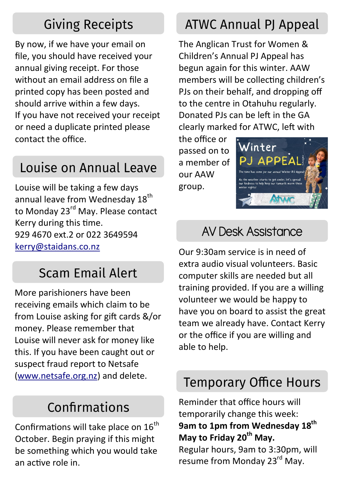## **Giving Receipts**

By now, if we have your email on file, you should have received your annual giving receipt. For those without an email address on file a printed copy has been posted and should arrive within a few days. If you have not received your receipt or need a duplicate printed please contact the office.

## Louise on Annual Leave

Louise will be taking a few days annual leave from Wednesday 18<sup>th</sup> to Monday 23<sup>rd</sup> May. Please contact Kerry during this time. 929 4670 ext.2 or 022 3649594 [kerry@staidans.co.nz](mailto:kerry@staidans.co.nz?subject=Query%20via%20newsletter)

## **Scam Email Alert**

More parishioners have been receiving emails which claim to be from Louise asking for gift cards &/or money. Please remember that Louise will never ask for money like this. If you have been caught out or suspect fraud report to Netsafe ([www.netsafe.org.nz\)](https://report.netsafe.org.nz/hc/en-au/requests/new?ticket_form_id=360000045756) and delete.

## Confirmations

Confirmations will take place on  $16<sup>th</sup>$ October. Begin praying if this might be something which you would take an active role in.

## **ATWC Annual PI Appeal**

The Anglican Trust for Women & Children's Annual PJ Appeal has begun again for this winter. AAW members will be collecting children's PJs on their behalf, and dropping off to the centre in Otahuhu regularly. Donated PJs can be left in the GA clearly marked for ATWC, left with

the office or passed on to a member of our AAW group.



## AV Desk Assistance

Our 9:30am service is in need of extra audio visual volunteers. Basic computer skills are needed but all training provided. If you are a willing volunteer we would be happy to have you on board to assist the great team we already have. Contact Kerry or the office if you are willing and able to help.

## **Temporary Office Hours**

Reminder that office hours will temporarily change this week: **9am to 1pm from Wednesday 18th May to Friday 20th May.**

Regular hours, 9am to 3:30pm, will resume from Monday 23<sup>rd</sup> May.